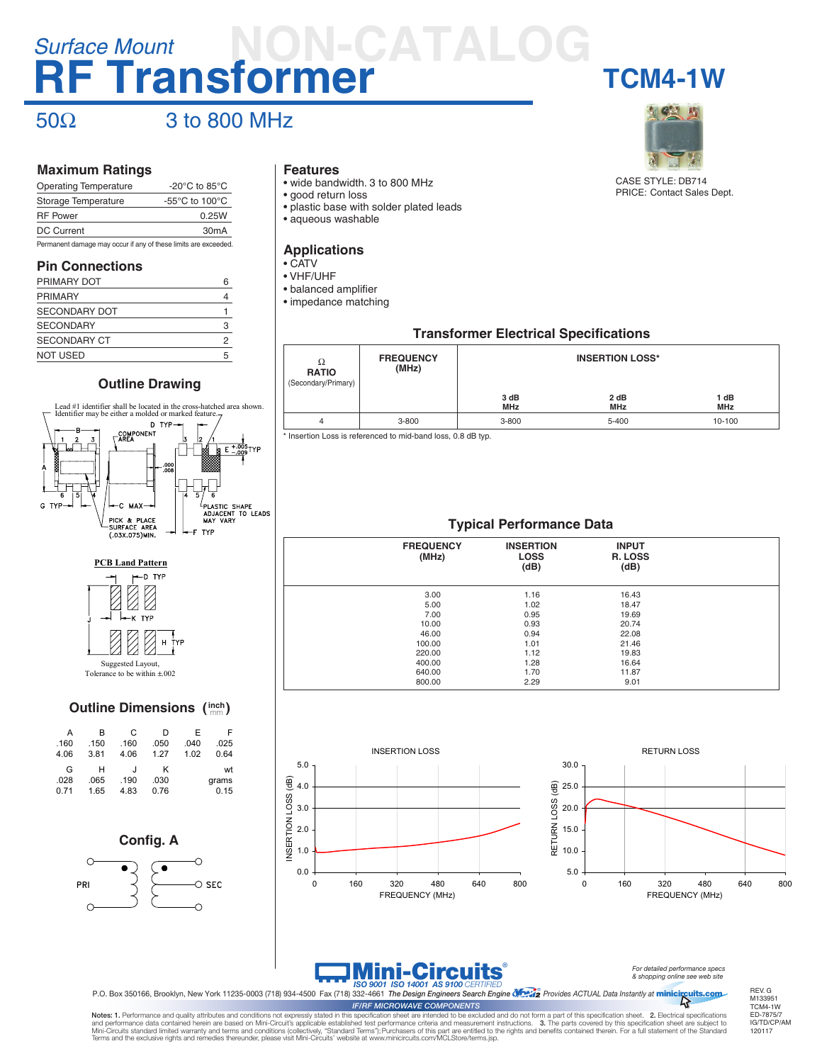### **RF Transformer TCM4-1W** *Surface Mount* **NON-CATALOG**

### $50\Omega$  3 to 800 MHz

#### **Maximum Ratings**

| <b>Operating Temperature</b>                                    | -20 $^{\circ}$ C to 85 $^{\circ}$ C |  |  |
|-----------------------------------------------------------------|-------------------------------------|--|--|
| Storage Temperature                                             | $-55^{\circ}$ C to 100 $^{\circ}$ C |  |  |
| <b>RF Power</b>                                                 | 0.25W                               |  |  |
| <b>DC Current</b>                                               | 30 <sub>m</sub> A                   |  |  |
| Permanent damage may occur if any of these limits are exceeded. |                                     |  |  |

#### **Pin Connections**

| PRIMARY DOT          | հ |
|----------------------|---|
| <b>PRIMARY</b>       |   |
| <b>SECONDARY DOT</b> |   |
| <b>SECONDARY</b>     | 3 |
| <b>SECONDARY CT</b>  | 2 |
| <b>NOT USED</b>      | 5 |

#### **Outline Drawing**





Tolerance to be within ±.002

### **Outline Dimensions ( ) inch** mm

| А    | в    | С       | D    | F    | F     |
|------|------|---------|------|------|-------|
| .160 | .150 | .160    | .050 | .040 | .025  |
| 4.06 | 3.81 | 4.06    | 1.27 | 1.02 | 0.64  |
| G    | н    | $\cdot$ | ĸ    |      | wt    |
| .028 | .065 | .190    | .030 |      | grams |
| 0.71 | 1.65 | 4.83    | 0.76 |      | 0.15  |



#### **Features**

- wide bandwidth. 3 to 800 MHz
- good return loss
- plastic base with solder plated leads
- aqueous washable

#### **Applications**

- CATV
- VHF/UHF
- balanced amplifier • impedance matching



CASE STYLE: DB714 PRICE: Contact Sales Dept.

#### **Transformer Electrical Specifications**

| Ω<br><b>RATIO</b><br>(Secondary/Primary) | <b>FREQUENCY</b><br>(MHz) | 3 dB<br><b>MHz</b> | <b>INSERTION LOSS*</b><br>2 dB<br><b>MHz</b> | 1 dB<br><b>MHz</b> |
|------------------------------------------|---------------------------|--------------------|----------------------------------------------|--------------------|
| 4                                        | $3 - 800$                 | $3 - 800$          | 5-400                                        | 10-100             |

\* Insertion Loss is referenced to mid-band loss, 0.8 dB typ.

### **Typical Performance Data**

| <b>FREQUENCY</b><br>(MHz) | <b>INSERTION</b><br><b>LOSS</b><br>(dB) | <b>INPUT</b><br>R. LOSS<br>(dB) |  |
|---------------------------|-----------------------------------------|---------------------------------|--|
| 3.00                      | 1.16                                    | 16.43                           |  |
| 5.00                      | 1.02                                    | 18.47                           |  |
| 7.00                      | 0.95                                    | 19.69                           |  |
| 10.00                     | 0.93                                    | 20.74                           |  |
| 46.00                     | 0.94                                    | 22.08                           |  |
| 100.00                    | 1.01                                    | 21.46                           |  |
| 220.00                    | 1.12                                    | 19.83                           |  |
| 400.00                    | 1.28                                    | 16.64                           |  |
| 640.00                    | 1.70                                    | 11.87                           |  |
| 800.00                    | 2.29                                    | 9.01                            |  |







*IF/RF MICROWAVE COMPONENTS*

*For detailed performance specs & shopping online see web site*

P.O. Box 350166, Brooklyn, New York 11235-0003 (718) 934-4500 Fax (718) 332-4661 *The Design Engineers Search Engine Provides ACTUAL Data Instantly at* ®

minicircuits.com

REV. G M133951 TCM4-1W ED-7875/7 IG/TD/CP/AM 120117

Notes: 1. Performance and quality attributes and conditions not expressly stated in this specification sheet are intended to be excluded and do not form a part of this specification sheet. 2. Electrical specifications and performance data contained herein are based on Mini-Circuit's applicable established test performance criteria and measurement instructions. 3. The parts covered by this specification sheet are subject to<br>Mini-Circuits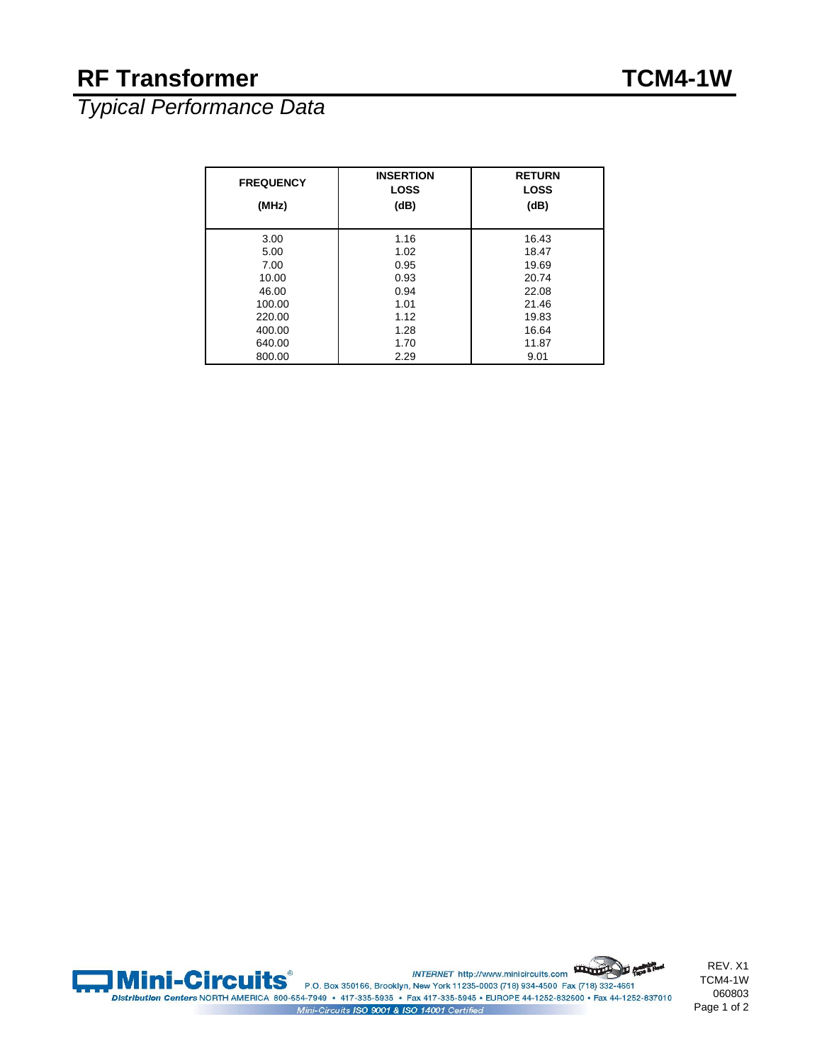### **RF Transformer TCM4-1W**

*Typical Performance Data*

| <b>FREQUENCY</b> | <b>INSERTION</b><br><b>LOSS</b> | <b>RETURN</b><br><b>LOSS</b> |
|------------------|---------------------------------|------------------------------|
| (MHz)            | (dB)                            | (dB)                         |
| 3.00             | 1.16                            | 16.43                        |
| 5.00             | 1.02                            | 18.47                        |
| 7.00             | 0.95                            | 19.69                        |
| 10.00            | 0.93                            | 20.74                        |
| 46.00            | 0.94                            | 22.08                        |
| 100.00           | 1.01                            | 21.46                        |
| 220.00           | 1.12                            | 19.83                        |
| 400.00           | 1.28                            | 16.64                        |
| 640.00           | 1.70                            | 11.87                        |
| 800.00           | 2.29                            | 9.01                         |



INTERNET http://www.minicircuits.com **Mini-Circuits** P.O. Box 350166, Brooklyn, New York 11235-0003 (718) 934-4500 Fax (718) 332-4661 Distribution Centers NORTH AMERICA 800-654-7949 · 417-335-5935 · Fax 417-335-5945 · EUROPE 44-1252-832600 · Fax 44-1252-837010 Mini-Circuits ISO 9001 & ISO 14001 Certified

REV. X1 TCM4-1W 060803 Page 1 of 2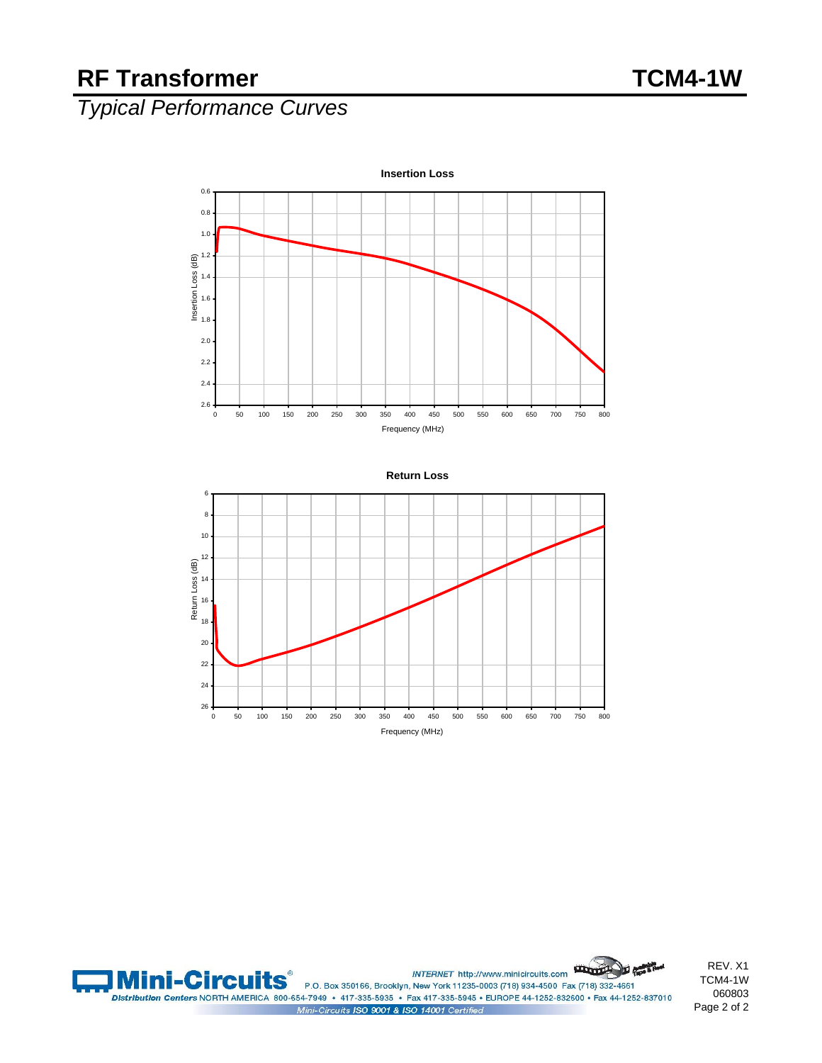### RF Transformer TCM4-1W

## *Typical Performance Curves*





INTERNET http://www.minicircuits.com **Mini-Circuits** P.O. Box 350166, Brooklyn, New York 11235-0003 (718) 934-4500 Fax (718) 332-4661 Distribution Centers NORTH AMERICA 800-654-7949 · 417-335-5935 · Fax 417-335-5945 · EUROPE 44-1252-832600 · Fax 44-1252-837010 Mini-Circuits ISO 9001 & ISO 14001 Certified

REV. X1 TCM4-1W 060803 Page 2 of 2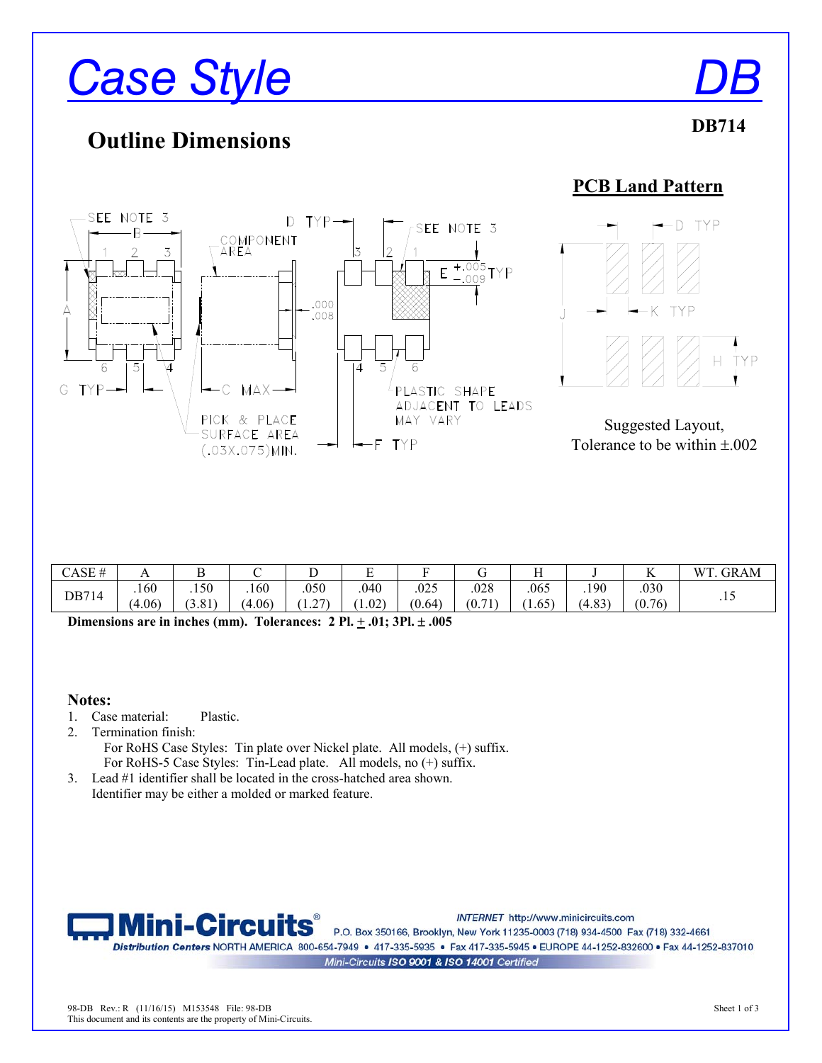# *Case Style*

## **Outline Dimensions**

**PCB Land Pattern** 



| CASE  | $\overline{1}$ | ◡      |       | ∸                 | Ē<br>∸         |        | ີ      |                |            | <b>T</b><br>17 | GRAM<br>W' |
|-------|----------------|--------|-------|-------------------|----------------|--------|--------|----------------|------------|----------------|------------|
| DB714 | .160           | .150   | 160   | .050              | .040           | .025   | .028   | .065           | .190       | .030           |            |
|       | $+06$          | (3.81) | 4.06) | $\sim$<br>$\cdot$ | $1.02^{\circ}$ | (0.64) | (0.71) | $1.65^{\circ}$ | 4.83<br>'⊿ | (0.76)         | .1J        |
|       |                |        |       |                   |                |        |        |                |            |                |            |

**Dimensions are in inches (mm). Tolerances: 2 Pl.**  $\pm$  **.01; 3Pl.**  $\pm$  **.005** 

### **Notes:**

- 1. Case material: Plastic.
- 2. Termination finish: For RoHS Case Styles: Tin plate over Nickel plate. All models, (+) suffix. For RoHS-5 Case Styles: Tin-Lead plate. All models, no  $(+)$  suffix.
- 3. Lead #1 identifier shall be located in the cross-hatched area shown. Identifier may be either a molded or marked feature.



INTERNET http://www.minicircuits.com

P.O. Box 350166, Brooklyn, New York 11235-0003 (718) 934-4500 Fax (718) 332-4661 Distribution Centers NORTH AMERICA 800-654-7949 · 417-335-5935 · Fax 417-335-5945 · EUROPE 44-1252-832600 · Fax 44-1252-837010

Mini-Circuits ISO 9001 & ISO 14001 Certified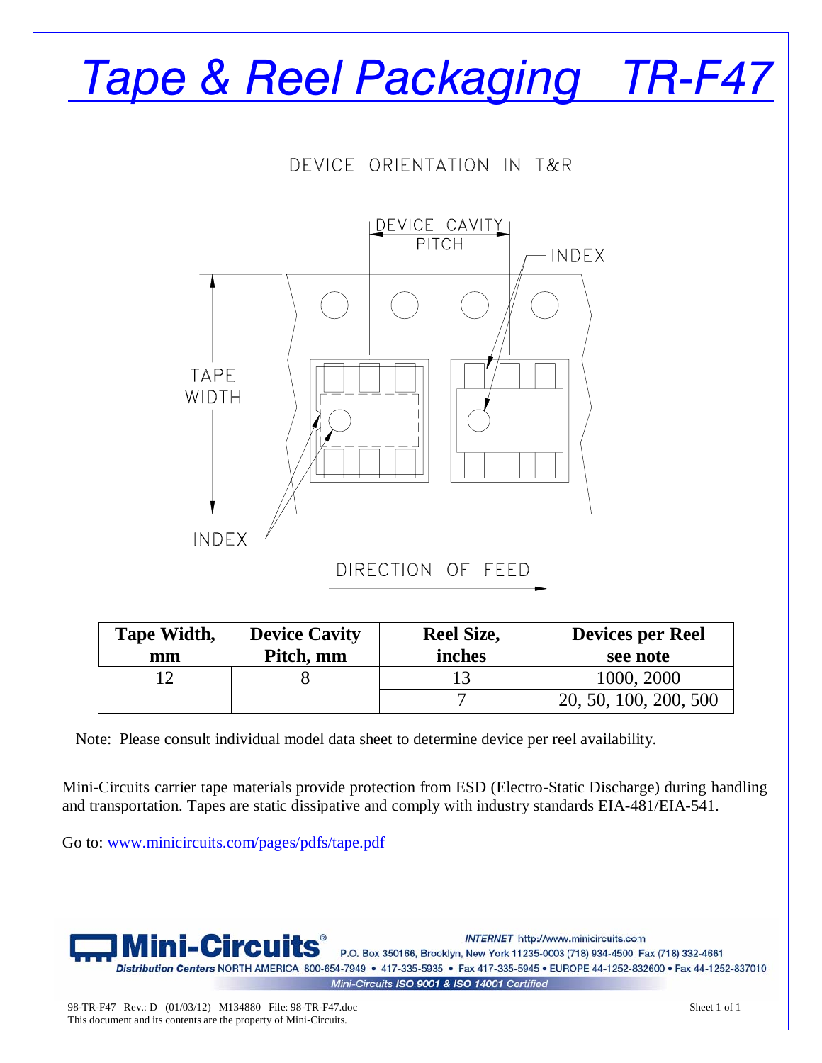# Tape & Reel Packaging TR-F47

DEVICE ORIENTATION IN T&R



| Tape Width,<br>mm | <b>Device Cavity</b><br>Pitch, mm | <b>Reel Size,</b><br>inches | <b>Devices per Reel</b><br>see note |
|-------------------|-----------------------------------|-----------------------------|-------------------------------------|
|                   |                                   |                             | 1000, 2000                          |
|                   |                                   |                             | 20, 50, 100, 200, 500               |

Note: Please consult individual model data sheet to determine device per reel availability.

Mini-Circuits carrier tape materials provide protection from ESD (Electro-Static Discharge) during handling and transportation. Tapes are static dissipative and comply with industry standards EIA-481/EIA-541.

Go to: www.minicircuits.com/pages/pdfs/tape.pdf